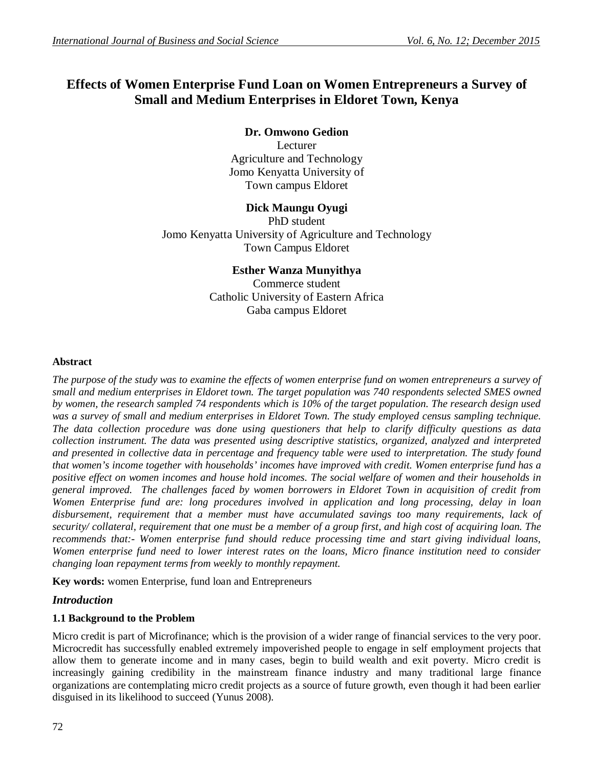# **Effects of Women Enterprise Fund Loan on Women Entrepreneurs a Survey of Small and Medium Enterprises in Eldoret Town, Kenya**

# **Dr. Omwono Gedion**

Lecturer Agriculture and Technology Jomo Kenyatta University of Town campus Eldoret

# **Dick Maungu Oyugi**

PhD student Jomo Kenyatta University of Agriculture and Technology Town Campus Eldoret

# **Esther Wanza Munyithya**

Commerce student Catholic University of Eastern Africa Gaba campus Eldoret

## **Abstract**

*The purpose of the study was to examine the effects of women enterprise fund on women entrepreneurs a survey of small and medium enterprises in Eldoret town. The target population was 740 respondents selected SMES owned by women, the research sampled 74 respondents which is 10% of the target population. The research design used*  was a survey of small and medium enterprises in Eldoret Town. The study employed census sampling technique. *The data collection procedure was done using questioners that help to clarify difficulty questions as data collection instrument. The data was presented using descriptive statistics, organized, analyzed and interpreted and presented in collective data in percentage and frequency table were used to interpretation. The study found that women's income together with households' incomes have improved with credit. Women enterprise fund has a positive effect on women incomes and house hold incomes. The social welfare of women and their households in general improved. The challenges faced by women borrowers in Eldoret Town in acquisition of credit from Women Enterprise fund are: long procedures involved in application and long processing, delay in loan disbursement, requirement that a member must have accumulated savings too many requirements, lack of security/ collateral, requirement that one must be a member of a group first, and high cost of acquiring loan. The recommends that:- Women enterprise fund should reduce processing time and start giving individual loans, Women enterprise fund need to lower interest rates on the loans, Micro finance institution need to consider changing loan repayment terms from weekly to monthly repayment.*

**Key words:** women Enterprise, fund loan and Entrepreneurs

## *Introduction*

## **1.1 Background to the Problem**

Micro credit is part of Microfinance; which is the provision of a wider range of financial services to the very poor. Microcredit has successfully enabled extremely impoverished people to engage in self employment projects that allow them to generate income and in many cases, begin to build wealth and exit poverty. Micro credit is increasingly gaining credibility in the mainstream finance industry and many traditional large finance organizations are contemplating micro credit projects as a source of future growth, even though it had been earlier disguised in its likelihood to succeed (Yunus 2008).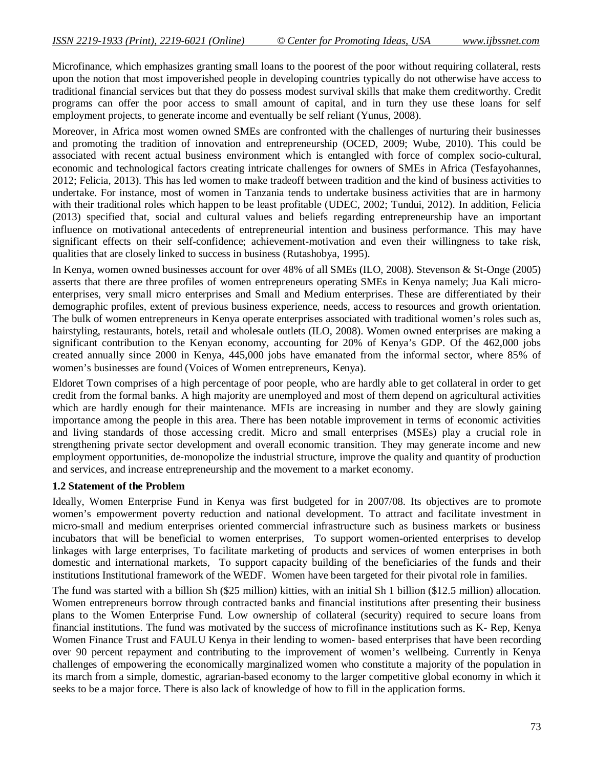Microfinance, which emphasizes granting small loans to the poorest of the poor without requiring collateral, rests upon the notion that most impoverished people in developing countries typically do not otherwise have access to traditional financial services but that they do possess modest survival skills that make them creditworthy. Credit programs can offer the poor access to small amount of capital, and in turn they use these loans for self employment projects, to generate income and eventually be self reliant (Yunus, 2008).

Moreover, in Africa most women owned SMEs are confronted with the challenges of nurturing their businesses and promoting the tradition of innovation and entrepreneurship (OCED, 2009; Wube, 2010). This could be associated with recent actual business environment which is entangled with force of complex socio-cultural, economic and technological factors creating intricate challenges for owners of SMEs in Africa (Tesfayohannes, 2012; Felicia, 2013). This has led women to make tradeoff between tradition and the kind of business activities to undertake. For instance, most of women in Tanzania tends to undertake business activities that are in harmony with their traditional roles which happen to be least profitable (UDEC, 2002; Tundui, 2012). In addition, Felicia (2013) specified that, social and cultural values and beliefs regarding entrepreneurship have an important influence on motivational antecedents of entrepreneurial intention and business performance. This may have significant effects on their self-confidence; achievement-motivation and even their willingness to take risk, qualities that are closely linked to success in business (Rutashobya, 1995).

In Kenya, women owned businesses account for over 48% of all SMEs (ILO, 2008). Stevenson & St-Onge (2005) asserts that there are three profiles of women entrepreneurs operating SMEs in Kenya namely; Jua Kali microenterprises, very small micro enterprises and Small and Medium enterprises. These are differentiated by their demographic profiles, extent of previous business experience, needs, access to resources and growth orientation. The bulk of women entrepreneurs in Kenya operate enterprises associated with traditional women's roles such as, hairstyling, restaurants, hotels, retail and wholesale outlets (ILO, 2008). Women owned enterprises are making a significant contribution to the Kenyan economy, accounting for 20% of Kenya's GDP. Of the 462,000 jobs created annually since 2000 in Kenya, 445,000 jobs have emanated from the informal sector, where 85% of women's businesses are found (Voices of Women entrepreneurs, Kenya).

Eldoret Town comprises of a high percentage of poor people, who are hardly able to get collateral in order to get credit from the formal banks. A high majority are unemployed and most of them depend on agricultural activities which are hardly enough for their maintenance. MFIs are increasing in number and they are slowly gaining importance among the people in this area. There has been notable improvement in terms of economic activities and living standards of those accessing credit. Micro and small enterprises (MSEs) play a crucial role in strengthening private sector development and overall economic transition. They may generate income and new employment opportunities, de-monopolize the industrial structure, improve the quality and quantity of production and services, and increase entrepreneurship and the movement to a market economy.

#### **1.2 Statement of the Problem**

Ideally, Women Enterprise Fund in Kenya was first budgeted for in 2007/08. Its objectives are to promote women's empowerment poverty reduction and national development. To attract and facilitate investment in micro-small and medium enterprises oriented commercial infrastructure such as business markets or business incubators that will be beneficial to women enterprises, To support women-oriented enterprises to develop linkages with large enterprises, To facilitate marketing of products and services of women enterprises in both domestic and international markets, To support capacity building of the beneficiaries of the funds and their institutions Institutional framework of the WEDF. Women have been targeted for their pivotal role in families.

The fund was started with a billion Sh (\$25 million) kitties, with an initial Sh 1 billion (\$12.5 million) allocation. Women entrepreneurs borrow through contracted banks and financial institutions after presenting their business plans to the Women Enterprise Fund. Low ownership of collateral (security) required to secure loans from financial institutions. The fund was motivated by the success of microfinance institutions such as K- Rep, Kenya Women Finance Trust and FAULU Kenya in their lending to women- based enterprises that have been recording over 90 percent repayment and contributing to the improvement of women's wellbeing. Currently in Kenya challenges of empowering the economically marginalized women who constitute a majority of the population in its march from a simple, domestic, agrarian-based economy to the larger competitive global economy in which it seeks to be a major force. There is also lack of knowledge of how to fill in the application forms.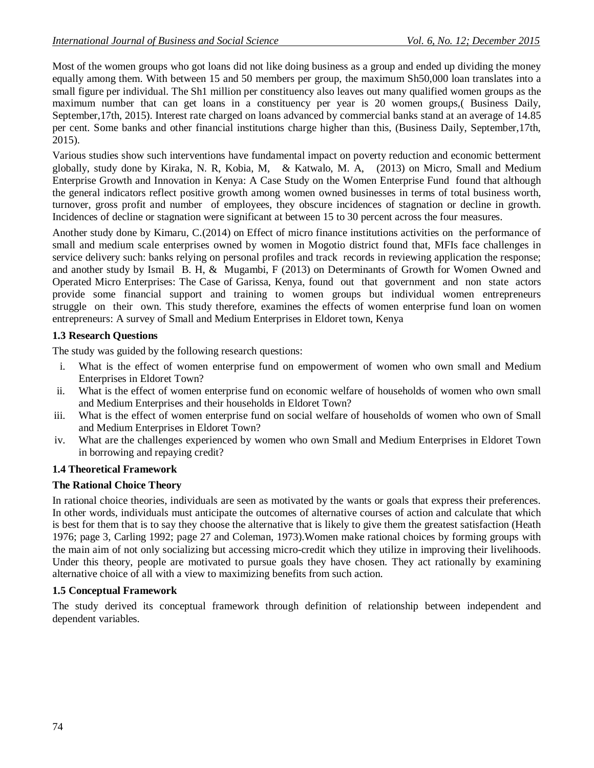Most of the women groups who got loans did not like doing business as a group and ended up dividing the money equally among them. With between 15 and 50 members per group, the maximum Sh50,000 loan translates into a small figure per individual. The Sh1 million per constituency also leaves out many qualified women groups as the maximum number that can get loans in a constituency per year is 20 women groups,( Business Daily, September,17th, 2015). Interest rate charged on loans advanced by commercial banks stand at an average of 14.85 per cent. Some banks and other financial institutions charge higher than this, (Business Daily, September,17th, 2015).

Various studies show such interventions have fundamental impact on poverty reduction and economic betterment globally, study done by Kiraka, N. R, Kobia, M, & Katwalo, M. A, (2013) on Micro, Small and Medium Enterprise Growth and Innovation in Kenya: A Case Study on the Women Enterprise Fund found that although the general indicators reflect positive growth among women owned businesses in terms of total business worth, turnover, gross profit and number of employees, they obscure incidences of stagnation or decline in growth. Incidences of decline or stagnation were significant at between 15 to 30 percent across the four measures.

Another study done by Kimaru, C.(2014) on Effect of micro finance institutions activities on the performance of small and medium scale enterprises owned by women in Mogotio district found that, MFIs face challenges in service delivery such: banks relying on personal profiles and track records in reviewing application the response; and another study by Ismail B. H, & Mugambi, F (2013) on Determinants of Growth for Women Owned and Operated Micro Enterprises: The Case of Garissa, Kenya, found out that government and non state actors provide some financial support and training to women groups but individual women entrepreneurs struggle on their own. This study therefore, examines the effects of women enterprise fund loan on women entrepreneurs: A survey of Small and Medium Enterprises in Eldoret town, Kenya

## **1.3 Research Questions**

The study was guided by the following research questions:

- i. What is the effect of women enterprise fund on empowerment of women who own small and Medium Enterprises in Eldoret Town?
- ii. What is the effect of women enterprise fund on economic welfare of households of women who own small and Medium Enterprises and their households in Eldoret Town?
- iii. What is the effect of women enterprise fund on social welfare of households of women who own of Small and Medium Enterprises in Eldoret Town?
- iv. What are the challenges experienced by women who own Small and Medium Enterprises in Eldoret Town in borrowing and repaying credit?

## **1.4 Theoretical Framework**

## **The Rational Choice Theory**

In rational choice theories, individuals are seen as motivated by the wants or goals that express their preferences. In other words, individuals must anticipate the outcomes of alternative courses of action and calculate that which is best for them that is to say they choose the alternative that is likely to give them the greatest satisfaction (Heath 1976; page 3, Carling 1992; page 27 and Coleman, 1973).Women make rational choices by forming groups with the main aim of not only socializing but accessing micro-credit which they utilize in improving their livelihoods. Under this theory, people are motivated to pursue goals they have chosen. They act rationally by examining alternative choice of all with a view to maximizing benefits from such action.

## **1.5 Conceptual Framework**

The study derived its conceptual framework through definition of relationship between independent and dependent variables.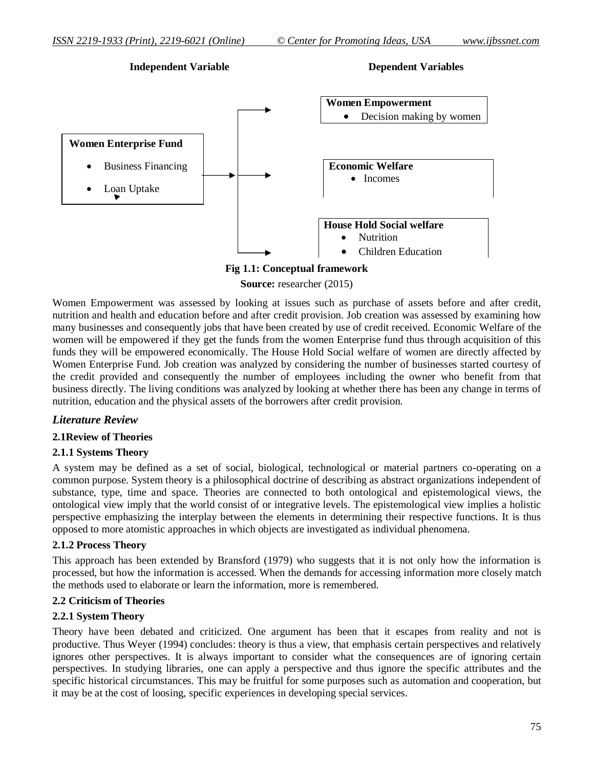## **Independent Variable Dependent Variables**



## **Fig 1.1: Conceptual framework**

**Source:** researcher (2015)

Women Empowerment was assessed by looking at issues such as purchase of assets before and after credit, nutrition and health and education before and after credit provision. Job creation was assessed by examining how many businesses and consequently jobs that have been created by use of credit received. Economic Welfare of the women will be empowered if they get the funds from the women Enterprise fund thus through acquisition of this funds they will be empowered economically. The House Hold Social welfare of women are directly affected by Women Enterprise Fund. Job creation was analyzed by considering the number of businesses started courtesy of the credit provided and consequently the number of employees including the owner who benefit from that business directly. The living conditions was analyzed by looking at whether there has been any change in terms of nutrition, education and the physical assets of the borrowers after credit provision.

## *Literature Review*

## **2.1Review of Theories**

## **2.1.1 Systems Theory**

A system may be defined as a set of social, biological, technological or material partners co-operating on a common purpose. System theory is a philosophical doctrine of describing as abstract organizations independent of substance, type, time and space. Theories are connected to both ontological and epistemological views, the ontological view imply that the world consist of or integrative levels. The epistemological view implies a holistic perspective emphasizing the interplay between the elements in determining their respective functions. It is thus opposed to more atomistic approaches in which objects are investigated as individual phenomena.

#### **2.1.2 Process Theory**

This approach has been extended by Bransford (1979) who suggests that it is not only how the information is processed, but how the information is accessed. When the demands for accessing information more closely match the methods used to elaborate or learn the information, more is remembered.

## **2.2 Criticism of Theories**

## **2.2.1 System Theory**

Theory have been debated and criticized. One argument has been that it escapes from reality and not is productive. Thus Weyer (1994) concludes: theory is thus a view, that emphasis certain perspectives and relatively ignores other perspectives. It is always important to consider what the consequences are of ignoring certain perspectives. In studying libraries, one can apply a perspective and thus ignore the specific attributes and the specific historical circumstances. This may be fruitful for some purposes such as automation and cooperation, but it may be at the cost of loosing, specific experiences in developing special services.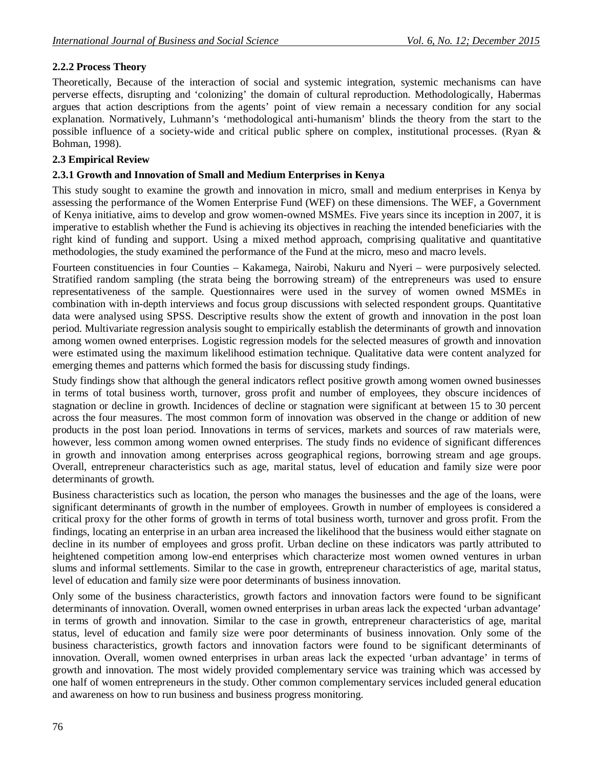## **2.2.2 Process Theory**

Theoretically, Because of the interaction of social and systemic integration, systemic mechanisms can have perverse effects, disrupting and 'colonizing' the domain of cultural reproduction. Methodologically, Habermas argues that action descriptions from the agents' point of view remain a necessary condition for any social explanation. Normatively, Luhmann's 'methodological anti-humanism' blinds the theory from the start to the possible influence of a society-wide and critical public sphere on complex, institutional processes. (Ryan & Bohman, 1998).

#### **2.3 Empirical Review**

### **2.3.1 Growth and Innovation of Small and Medium Enterprises in Kenya**

This study sought to examine the growth and innovation in micro, small and medium enterprises in Kenya by assessing the performance of the Women Enterprise Fund (WEF) on these dimensions. The WEF, a Government of Kenya initiative, aims to develop and grow women-owned MSMEs. Five years since its inception in 2007, it is imperative to establish whether the Fund is achieving its objectives in reaching the intended beneficiaries with the right kind of funding and support. Using a mixed method approach, comprising qualitative and quantitative methodologies, the study examined the performance of the Fund at the micro, meso and macro levels.

Fourteen constituencies in four Counties – Kakamega, Nairobi, Nakuru and Nyeri – were purposively selected. Stratified random sampling (the strata being the borrowing stream) of the entrepreneurs was used to ensure representativeness of the sample. Questionnaires were used in the survey of women owned MSMEs in combination with in-depth interviews and focus group discussions with selected respondent groups. Quantitative data were analysed using SPSS. Descriptive results show the extent of growth and innovation in the post loan period. Multivariate regression analysis sought to empirically establish the determinants of growth and innovation among women owned enterprises. Logistic regression models for the selected measures of growth and innovation were estimated using the maximum likelihood estimation technique. Qualitative data were content analyzed for emerging themes and patterns which formed the basis for discussing study findings.

Study findings show that although the general indicators reflect positive growth among women owned businesses in terms of total business worth, turnover, gross profit and number of employees, they obscure incidences of stagnation or decline in growth. Incidences of decline or stagnation were significant at between 15 to 30 percent across the four measures. The most common form of innovation was observed in the change or addition of new products in the post loan period. Innovations in terms of services, markets and sources of raw materials were, however, less common among women owned enterprises. The study finds no evidence of significant differences in growth and innovation among enterprises across geographical regions, borrowing stream and age groups. Overall, entrepreneur characteristics such as age, marital status, level of education and family size were poor determinants of growth.

Business characteristics such as location, the person who manages the businesses and the age of the loans, were significant determinants of growth in the number of employees. Growth in number of employees is considered a critical proxy for the other forms of growth in terms of total business worth, turnover and gross profit. From the findings, locating an enterprise in an urban area increased the likelihood that the business would either stagnate on decline in its number of employees and gross profit. Urban decline on these indicators was partly attributed to heightened competition among low-end enterprises which characterize most women owned ventures in urban slums and informal settlements. Similar to the case in growth, entrepreneur characteristics of age, marital status, level of education and family size were poor determinants of business innovation.

Only some of the business characteristics, growth factors and innovation factors were found to be significant determinants of innovation. Overall, women owned enterprises in urban areas lack the expected 'urban advantage' in terms of growth and innovation. Similar to the case in growth, entrepreneur characteristics of age, marital status, level of education and family size were poor determinants of business innovation. Only some of the business characteristics, growth factors and innovation factors were found to be significant determinants of innovation. Overall, women owned enterprises in urban areas lack the expected 'urban advantage' in terms of growth and innovation. The most widely provided complementary service was training which was accessed by one half of women entrepreneurs in the study. Other common complementary services included general education and awareness on how to run business and business progress monitoring.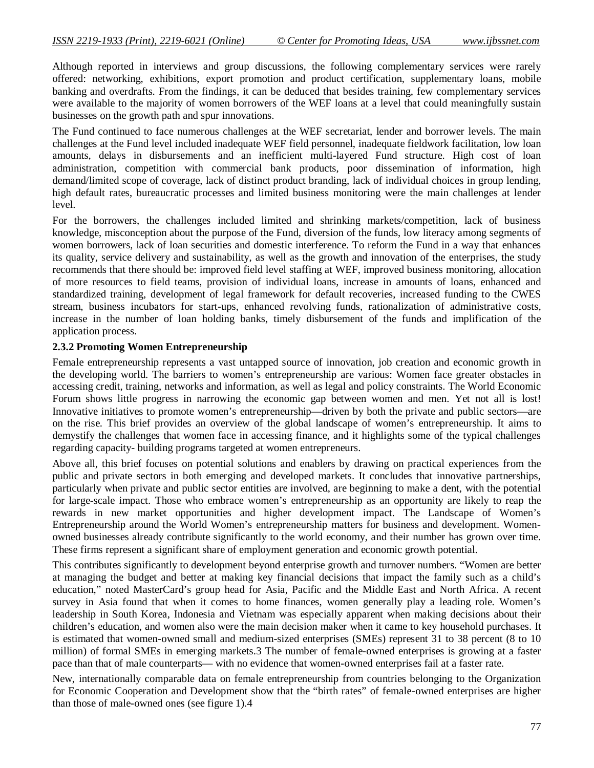Although reported in interviews and group discussions, the following complementary services were rarely offered: networking, exhibitions, export promotion and product certification, supplementary loans, mobile banking and overdrafts. From the findings, it can be deduced that besides training, few complementary services were available to the majority of women borrowers of the WEF loans at a level that could meaningfully sustain businesses on the growth path and spur innovations.

The Fund continued to face numerous challenges at the WEF secretariat, lender and borrower levels. The main challenges at the Fund level included inadequate WEF field personnel, inadequate fieldwork facilitation, low loan amounts, delays in disbursements and an inefficient multi-layered Fund structure. High cost of loan administration, competition with commercial bank products, poor dissemination of information, high demand/limited scope of coverage, lack of distinct product branding, lack of individual choices in group lending, high default rates, bureaucratic processes and limited business monitoring were the main challenges at lender level.

For the borrowers, the challenges included limited and shrinking markets/competition, lack of business knowledge, misconception about the purpose of the Fund, diversion of the funds, low literacy among segments of women borrowers, lack of loan securities and domestic interference. To reform the Fund in a way that enhances its quality, service delivery and sustainability, as well as the growth and innovation of the enterprises, the study recommends that there should be: improved field level staffing at WEF, improved business monitoring, allocation of more resources to field teams, provision of individual loans, increase in amounts of loans, enhanced and standardized training, development of legal framework for default recoveries, increased funding to the CWES stream, business incubators for start-ups, enhanced revolving funds, rationalization of administrative costs, increase in the number of loan holding banks, timely disbursement of the funds and implification of the application process.

#### **2.3.2 Promoting Women Entrepreneurship**

Female entrepreneurship represents a vast untapped source of innovation, job creation and economic growth in the developing world. The barriers to women's entrepreneurship are various: Women face greater obstacles in accessing credit, training, networks and information, as well as legal and policy constraints. The World Economic Forum shows little progress in narrowing the economic gap between women and men. Yet not all is lost! Innovative initiatives to promote women's entrepreneurship—driven by both the private and public sectors—are on the rise. This brief provides an overview of the global landscape of women's entrepreneurship. It aims to demystify the challenges that women face in accessing finance, and it highlights some of the typical challenges regarding capacity- building programs targeted at women entrepreneurs.

Above all, this brief focuses on potential solutions and enablers by drawing on practical experiences from the public and private sectors in both emerging and developed markets. It concludes that innovative partnerships, particularly when private and public sector entities are involved, are beginning to make a dent, with the potential for large-scale impact. Those who embrace women's entrepreneurship as an opportunity are likely to reap the rewards in new market opportunities and higher development impact. The Landscape of Women's Entrepreneurship around the World Women's entrepreneurship matters for business and development. Womenowned businesses already contribute significantly to the world economy, and their number has grown over time. These firms represent a significant share of employment generation and economic growth potential.

This contributes significantly to development beyond enterprise growth and turnover numbers. "Women are better at managing the budget and better at making key financial decisions that impact the family such as a child's education," noted MasterCard's group head for Asia, Pacific and the Middle East and North Africa. A recent survey in Asia found that when it comes to home finances, women generally play a leading role. Women's leadership in South Korea, Indonesia and Vietnam was especially apparent when making decisions about their children's education, and women also were the main decision maker when it came to key household purchases. It is estimated that women-owned small and medium-sized enterprises (SMEs) represent 31 to 38 percent (8 to 10 million) of formal SMEs in emerging markets.3 The number of female-owned enterprises is growing at a faster pace than that of male counterparts— with no evidence that women-owned enterprises fail at a faster rate.

New, internationally comparable data on female entrepreneurship from countries belonging to the Organization for Economic Cooperation and Development show that the "birth rates" of female-owned enterprises are higher than those of male-owned ones (see figure 1).4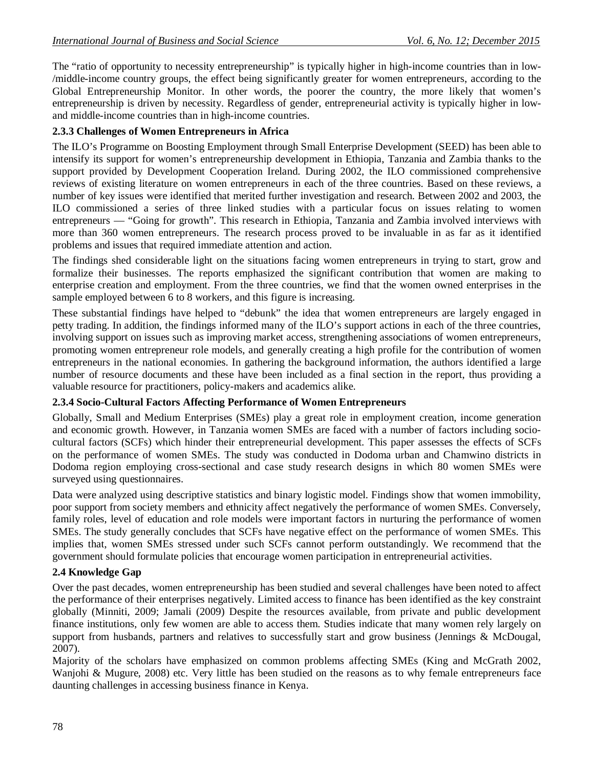The "ratio of opportunity to necessity entrepreneurship" is typically higher in high-income countries than in low-/middle-income country groups, the effect being significantly greater for women entrepreneurs, according to the Global Entrepreneurship Monitor. In other words, the poorer the country, the more likely that women's entrepreneurship is driven by necessity. Regardless of gender, entrepreneurial activity is typically higher in lowand middle-income countries than in high-income countries.

## **2.3.3 Challenges of Women Entrepreneurs in Africa**

The ILO's Programme on Boosting Employment through Small Enterprise Development (SEED) has been able to intensify its support for women's entrepreneurship development in Ethiopia, Tanzania and Zambia thanks to the support provided by Development Cooperation Ireland. During 2002, the ILO commissioned comprehensive reviews of existing literature on women entrepreneurs in each of the three countries. Based on these reviews, a number of key issues were identified that merited further investigation and research. Between 2002 and 2003, the ILO commissioned a series of three linked studies with a particular focus on issues relating to women entrepreneurs — "Going for growth". This research in Ethiopia, Tanzania and Zambia involved interviews with more than 360 women entrepreneurs. The research process proved to be invaluable in as far as it identified problems and issues that required immediate attention and action.

The findings shed considerable light on the situations facing women entrepreneurs in trying to start, grow and formalize their businesses. The reports emphasized the significant contribution that women are making to enterprise creation and employment. From the three countries, we find that the women owned enterprises in the sample employed between 6 to 8 workers, and this figure is increasing.

These substantial findings have helped to "debunk" the idea that women entrepreneurs are largely engaged in petty trading. In addition, the findings informed many of the ILO's support actions in each of the three countries, involving support on issues such as improving market access, strengthening associations of women entrepreneurs, promoting women entrepreneur role models, and generally creating a high profile for the contribution of women entrepreneurs in the national economies. In gathering the background information, the authors identified a large number of resource documents and these have been included as a final section in the report, thus providing a valuable resource for practitioners, policy-makers and academics alike.

## **2.3.4 Socio-Cultural Factors Affecting Performance of Women Entrepreneurs**

Globally, Small and Medium Enterprises (SMEs) play a great role in employment creation, income generation and economic growth. However, in Tanzania women SMEs are faced with a number of factors including sociocultural factors (SCFs) which hinder their entrepreneurial development. This paper assesses the effects of SCFs on the performance of women SMEs. The study was conducted in Dodoma urban and Chamwino districts in Dodoma region employing cross-sectional and case study research designs in which 80 women SMEs were surveyed using questionnaires.

Data were analyzed using descriptive statistics and binary logistic model. Findings show that women immobility, poor support from society members and ethnicity affect negatively the performance of women SMEs. Conversely, family roles, level of education and role models were important factors in nurturing the performance of women SMEs. The study generally concludes that SCFs have negative effect on the performance of women SMEs. This implies that, women SMEs stressed under such SCFs cannot perform outstandingly. We recommend that the government should formulate policies that encourage women participation in entrepreneurial activities.

## **2.4 Knowledge Gap**

Over the past decades, women entrepreneurship has been studied and several challenges have been noted to affect the performance of their enterprises negatively. Limited access to finance has been identified as the key constraint globally (Minniti, 2009; Jamali (2009) Despite the resources available, from private and public development finance institutions, only few women are able to access them. Studies indicate that many women rely largely on support from husbands, partners and relatives to successfully start and grow business (Jennings & McDougal, 2007).

Majority of the scholars have emphasized on common problems affecting SMEs (King and McGrath 2002, Wanjohi & Mugure, 2008) etc. Very little has been studied on the reasons as to why female entrepreneurs face daunting challenges in accessing business finance in Kenya.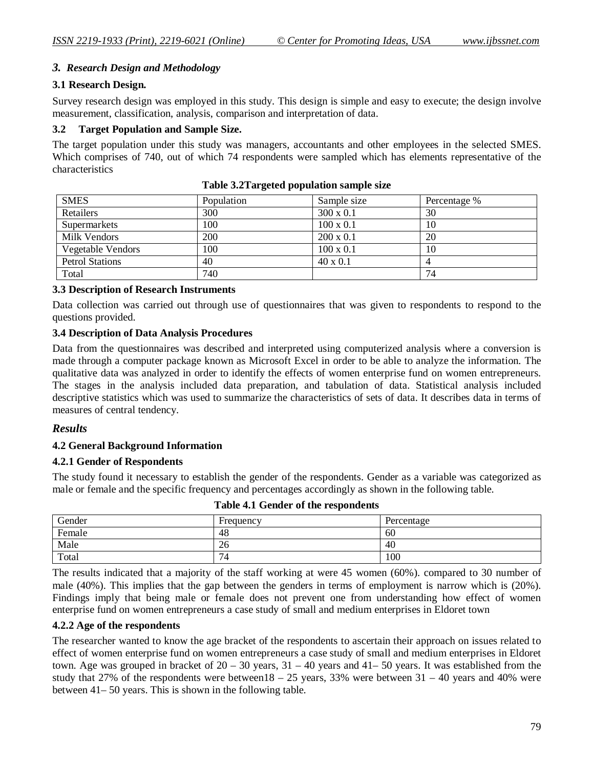## *3. Research Design and Methodology*

#### **3.1 Research Design.**

Survey research design was employed in this study. This design is simple and easy to execute; the design involve measurement, classification, analysis, comparison and interpretation of data.

#### **3.2 Target Population and Sample Size.**

The target population under this study was managers, accountants and other employees in the selected SMES. Which comprises of 740, out of which 74 respondents were sampled which has elements representative of the characteristics

| <b>SMES</b>              | Population | Sample size      | Percentage % |
|--------------------------|------------|------------------|--------------|
| Retailers                | 300        | $300 \times 0.1$ | 30           |
| Supermarkets             | 100        | $100 \times 0.1$ | 10           |
| Milk Vendors             | 200        | $200 \times 0.1$ | 20           |
| <b>Vegetable Vendors</b> | 100        | $100 \times 0.1$ | 10           |
| <b>Petrol Stations</b>   | 40         | $40 \times 0.1$  |              |
| Total                    | 740        |                  | 74           |

**Table 3.2Targeted population sample size**

#### **3.3 Description of Research Instruments**

Data collection was carried out through use of questionnaires that was given to respondents to respond to the questions provided.

#### **3.4 Description of Data Analysis Procedures**

Data from the questionnaires was described and interpreted using computerized analysis where a conversion is made through a computer package known as Microsoft Excel in order to be able to analyze the information. The qualitative data was analyzed in order to identify the effects of women enterprise fund on women entrepreneurs. The stages in the analysis included data preparation, and tabulation of data. Statistical analysis included descriptive statistics which was used to summarize the characteristics of sets of data. It describes data in terms of measures of central tendency.

#### *Results*

#### **4.2 General Background Information**

#### **4.2.1 Gender of Respondents**

The study found it necessary to establish the gender of the respondents. Gender as a variable was categorized as male or female and the specific frequency and percentages accordingly as shown in the following table.

| Gender | Frequency | Percentage |
|--------|-----------|------------|
| Female | 48        | 60         |
| Male   | 26        | 40         |
| Total  | 74        | 100        |

**Table 4.1 Gender of the respondents**

The results indicated that a majority of the staff working at were 45 women (60%). compared to 30 number of male (40%). This implies that the gap between the genders in terms of employment is narrow which is (20%). Findings imply that being male or female does not prevent one from understanding how effect of women enterprise fund on women entrepreneurs a case study of small and medium enterprises in Eldoret town

#### **4.2.2 Age of the respondents**

The researcher wanted to know the age bracket of the respondents to ascertain their approach on issues related to effect of women enterprise fund on women entrepreneurs a case study of small and medium enterprises in Eldoret town. Age was grouped in bracket of 20 – 30 years, 31 – 40 years and 41– 50 years. It was established from the study that 27% of the respondents were between18 – 25 years, 33% were between  $31 - 40$  years and 40% were between 41– 50 years. This is shown in the following table.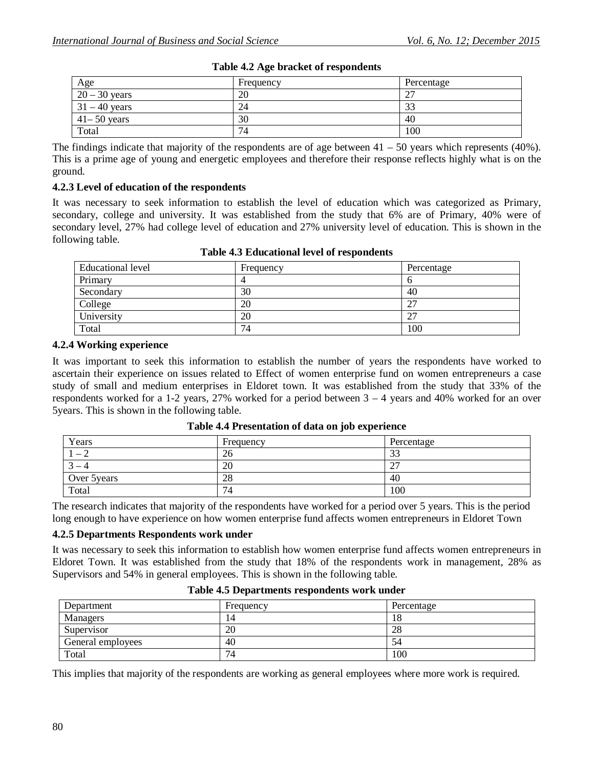| Age             | Frequency | Percentage       |
|-----------------|-----------|------------------|
| $20 - 30$ years | 20        | $\sim$<br>$\sim$ |
| $31 - 40$ years | 24        | $\sim$<br>دد     |
| $41 - 50$ years | 30        | 40               |
| Total           | 74        | 100              |

## **Table 4.2 Age bracket of respondents**

The findings indicate that majority of the respondents are of age between 41 – 50 years which represents (40%). This is a prime age of young and energetic employees and therefore their response reflects highly what is on the ground.

### **4.2.3 Level of education of the respondents**

It was necessary to seek information to establish the level of education which was categorized as Primary, secondary, college and university. It was established from the study that 6% are of Primary, 40% were of secondary level, 27% had college level of education and 27% university level of education. This is shown in the following table.

| Educational level | Frequency | Percentage                           |
|-------------------|-----------|--------------------------------------|
| Primary           |           |                                      |
| Secondary         | 30        | 40                                   |
| College           | 20        | $\mathbin{\lnot}$<br>$\mathcal{L}$ . |
| University        | 20        | ີ<br>$\mathcal{L}$ .                 |
| Total             | 74        | 100                                  |

#### **Table 4.3 Educational level of respondents**

#### **4.2.4 Working experience**

It was important to seek this information to establish the number of years the respondents have worked to ascertain their experience on issues related to Effect of women enterprise fund on women entrepreneurs a case study of small and medium enterprises in Eldoret town. It was established from the study that 33% of the respondents worked for a 1-2 years, 27% worked for a period between  $3 - 4$  years and 40% worked for an over 5years. This is shown in the following table.

| Years         | Frequency | Percentage           |
|---------------|-----------|----------------------|
| $1 - 1$       | 26        | $\mathcal{L}$<br>JJ. |
| $\sim$<br>$-$ | 20        | $\sim$<br>∸          |
| Over 5 years  | 28        | 40                   |
| Total         | 74        | 100                  |

**Table 4.4 Presentation of data on job experience**

The research indicates that majority of the respondents have worked for a period over 5 years. This is the period long enough to have experience on how women enterprise fund affects women entrepreneurs in Eldoret Town

#### **4.2.5 Departments Respondents work under**

It was necessary to seek this information to establish how women enterprise fund affects women entrepreneurs in Eldoret Town. It was established from the study that 18% of the respondents work in management, 28% as Supervisors and 54% in general employees. This is shown in the following table.

| Department        | Frequency | Percentage |
|-------------------|-----------|------------|
| <b>Managers</b>   | . 4       | 18         |
| Supervisor        | 20        | 28         |
| General employees | 40        | 54         |
| Total             | 74        | 100        |

**Table 4.5 Departments respondents work under**

This implies that majority of the respondents are working as general employees where more work is required.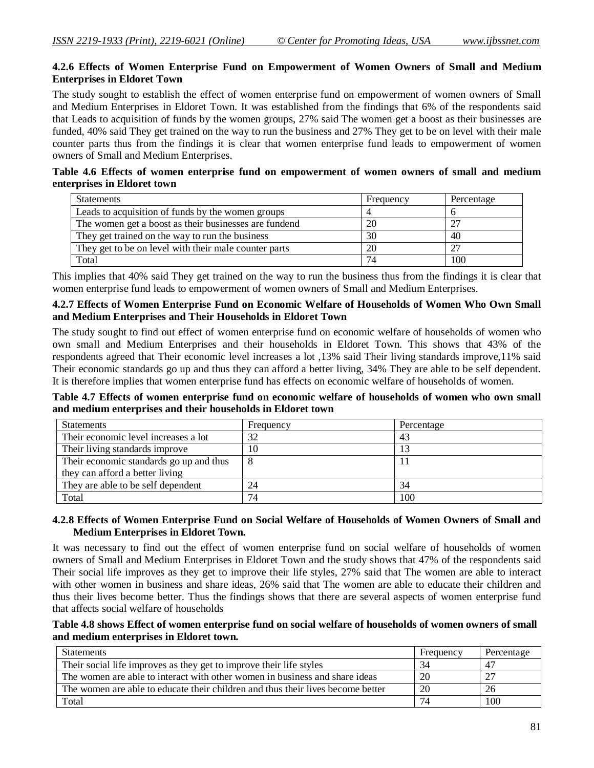### **4.2.6 Effects of Women Enterprise Fund on Empowerment of Women Owners of Small and Medium Enterprises in Eldoret Town**

The study sought to establish the effect of women enterprise fund on empowerment of women owners of Small and Medium Enterprises in Eldoret Town. It was established from the findings that 6% of the respondents said that Leads to acquisition of funds by the women groups, 27% said The women get a boost as their businesses are funded, 40% said They get trained on the way to run the business and 27% They get to be on level with their male counter parts thus from the findings it is clear that women enterprise fund leads to empowerment of women owners of Small and Medium Enterprises.

### **Table 4.6 Effects of women enterprise fund on empowerment of women owners of small and medium enterprises in Eldoret town**

| <b>Statements</b>                                     | Frequency | Percentage |
|-------------------------------------------------------|-----------|------------|
| Leads to acquisition of funds by the women groups     |           |            |
| The women get a boost as their businesses are fundend | 20        | 27         |
| They get trained on the way to run the business       | 30        | 40         |
| They get to be on level with their male counter parts | 20        | 27         |
| Total                                                 | 74        | 100        |

This implies that 40% said They get trained on the way to run the business thus from the findings it is clear that women enterprise fund leads to empowerment of women owners of Small and Medium Enterprises.

#### **4.2.7 Effects of Women Enterprise Fund on Economic Welfare of Households of Women Who Own Small and Medium Enterprises and Their Households in Eldoret Town**

The study sought to find out effect of women enterprise fund on economic welfare of households of women who own small and Medium Enterprises and their households in Eldoret Town. This shows that 43% of the respondents agreed that Their economic level increases a lot ,13% said Their living standards improve,11% said Their economic standards go up and thus they can afford a better living, 34% They are able to be self dependent. It is therefore implies that women enterprise fund has effects on economic welfare of households of women.

**Table 4.7 Effects of women enterprise fund on economic welfare of households of women who own small and medium enterprises and their households in Eldoret town**

| <b>Statements</b>                       | Frequency | Percentage |
|-----------------------------------------|-----------|------------|
| Their economic level increases a lot    | 32        | 43         |
| Their living standards improve          | 10        |            |
| Their economic standards go up and thus | 8         |            |
| they can afford a better living         |           |            |
| They are able to be self dependent      | 24        | 34         |
| Total                                   | 74        | 100        |

### **4.2.8 Effects of Women Enterprise Fund on Social Welfare of Households of Women Owners of Small and Medium Enterprises in Eldoret Town.**

It was necessary to find out the effect of women enterprise fund on social welfare of households of women owners of Small and Medium Enterprises in Eldoret Town and the study shows that 47% of the respondents said Their social life improves as they get to improve their life styles, 27% said that The women are able to interact with other women in business and share ideas, 26% said that The women are able to educate their children and thus their lives become better. Thus the findings shows that there are several aspects of women enterprise fund that affects social welfare of households

#### **Table 4.8 shows Effect of women enterprise fund on social welfare of households of women owners of small and medium enterprises in Eldoret town.**

| <b>Statements</b>                                                               | Frequency | Percentage |
|---------------------------------------------------------------------------------|-----------|------------|
| Their social life improves as they get to improve their life styles             | 34        |            |
| The women are able to interact with other women in business and share ideas     | 20        |            |
| The women are able to educate their children and thus their lives become better | 20        | 26         |
| Total                                                                           | 74        | 100        |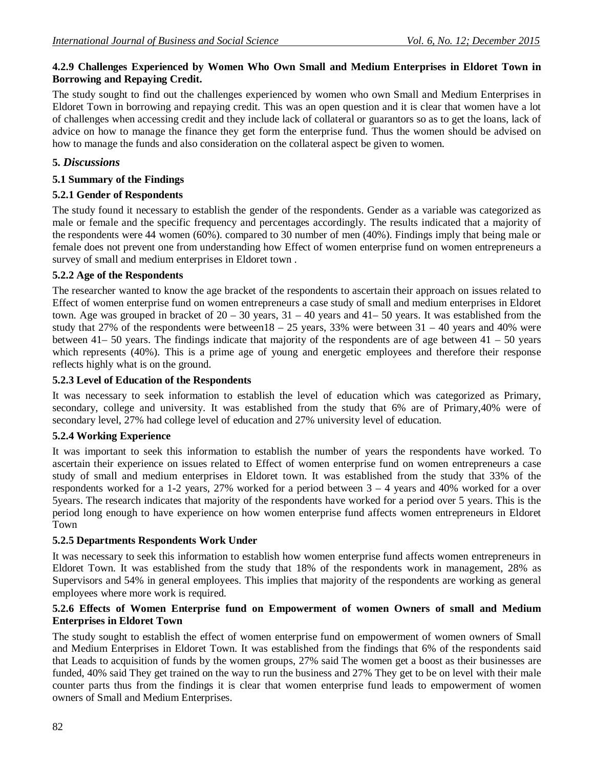## **4.2.9 Challenges Experienced by Women Who Own Small and Medium Enterprises in Eldoret Town in Borrowing and Repaying Credit.**

The study sought to find out the challenges experienced by women who own Small and Medium Enterprises in Eldoret Town in borrowing and repaying credit. This was an open question and it is clear that women have a lot of challenges when accessing credit and they include lack of collateral or guarantors so as to get the loans, lack of advice on how to manage the finance they get form the enterprise fund. Thus the women should be advised on how to manage the funds and also consideration on the collateral aspect be given to women.

## **5.** *Discussions*

## **5.1 Summary of the Findings**

## **5.2.1 Gender of Respondents**

The study found it necessary to establish the gender of the respondents. Gender as a variable was categorized as male or female and the specific frequency and percentages accordingly. The results indicated that a majority of the respondents were 44 women (60%). compared to 30 number of men (40%). Findings imply that being male or female does not prevent one from understanding how Effect of women enterprise fund on women entrepreneurs a survey of small and medium enterprises in Eldoret town .

## **5.2.2 Age of the Respondents**

The researcher wanted to know the age bracket of the respondents to ascertain their approach on issues related to Effect of women enterprise fund on women entrepreneurs a case study of small and medium enterprises in Eldoret town. Age was grouped in bracket of  $20 - 30$  years,  $31 - 40$  years and  $41 - 50$  years. It was established from the study that 27% of the respondents were between18 – 25 years, 33% were between  $31 - 40$  years and 40% were between 41– 50 years. The findings indicate that majority of the respondents are of age between 41 – 50 years which represents (40%). This is a prime age of young and energetic employees and therefore their response reflects highly what is on the ground.

## **5.2.3 Level of Education of the Respondents**

It was necessary to seek information to establish the level of education which was categorized as Primary, secondary, college and university. It was established from the study that 6% are of Primary,40% were of secondary level, 27% had college level of education and 27% university level of education.

## **5.2.4 Working Experience**

It was important to seek this information to establish the number of years the respondents have worked. To ascertain their experience on issues related to Effect of women enterprise fund on women entrepreneurs a case study of small and medium enterprises in Eldoret town. It was established from the study that 33% of the respondents worked for a 1-2 years, 27% worked for a period between  $3 - 4$  years and 40% worked for a over 5years. The research indicates that majority of the respondents have worked for a period over 5 years. This is the period long enough to have experience on how women enterprise fund affects women entrepreneurs in Eldoret Town

## **5.2.5 Departments Respondents Work Under**

It was necessary to seek this information to establish how women enterprise fund affects women entrepreneurs in Eldoret Town. It was established from the study that 18% of the respondents work in management, 28% as Supervisors and 54% in general employees. This implies that majority of the respondents are working as general employees where more work is required.

## **5.2.6 Effects of Women Enterprise fund on Empowerment of women Owners of small and Medium Enterprises in Eldoret Town**

The study sought to establish the effect of women enterprise fund on empowerment of women owners of Small and Medium Enterprises in Eldoret Town. It was established from the findings that 6% of the respondents said that Leads to acquisition of funds by the women groups, 27% said The women get a boost as their businesses are funded, 40% said They get trained on the way to run the business and 27% They get to be on level with their male counter parts thus from the findings it is clear that women enterprise fund leads to empowerment of women owners of Small and Medium Enterprises.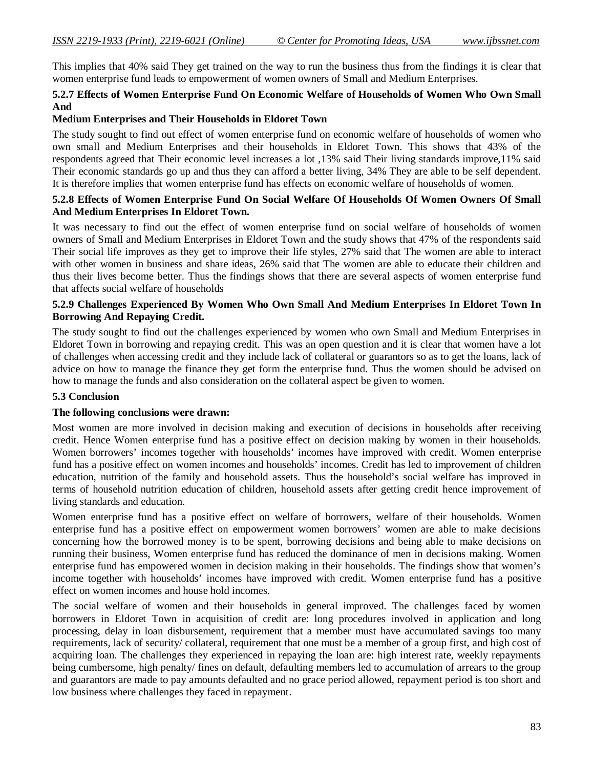This implies that 40% said They get trained on the way to run the business thus from the findings it is clear that women enterprise fund leads to empowerment of women owners of Small and Medium Enterprises.

### **5.2.7 Effects of Women Enterprise Fund On Economic Welfare of Households of Women Who Own Small And**

#### **Medium Enterprises and Their Households in Eldoret Town**

The study sought to find out effect of women enterprise fund on economic welfare of households of women who own small and Medium Enterprises and their households in Eldoret Town. This shows that 43% of the respondents agreed that Their economic level increases a lot ,13% said Their living standards improve,11% said Their economic standards go up and thus they can afford a better living, 34% They are able to be self dependent. It is therefore implies that women enterprise fund has effects on economic welfare of households of women.

#### **5.2.8 Effects of Women Enterprise Fund On Social Welfare Of Households Of Women Owners Of Small And Medium Enterprises In Eldoret Town.**

It was necessary to find out the effect of women enterprise fund on social welfare of households of women owners of Small and Medium Enterprises in Eldoret Town and the study shows that 47% of the respondents said Their social life improves as they get to improve their life styles, 27% said that The women are able to interact with other women in business and share ideas, 26% said that The women are able to educate their children and thus their lives become better. Thus the findings shows that there are several aspects of women enterprise fund that affects social welfare of households

### **5.2.9 Challenges Experienced By Women Who Own Small And Medium Enterprises In Eldoret Town In Borrowing And Repaying Credit.**

The study sought to find out the challenges experienced by women who own Small and Medium Enterprises in Eldoret Town in borrowing and repaying credit. This was an open question and it is clear that women have a lot of challenges when accessing credit and they include lack of collateral or guarantors so as to get the loans, lack of advice on how to manage the finance they get form the enterprise fund. Thus the women should be advised on how to manage the funds and also consideration on the collateral aspect be given to women.

#### **5.3 Conclusion**

#### **The following conclusions were drawn:**

Most women are more involved in decision making and execution of decisions in households after receiving credit. Hence Women enterprise fund has a positive effect on decision making by women in their households. Women borrowers' incomes together with households' incomes have improved with credit. Women enterprise fund has a positive effect on women incomes and households' incomes. Credit has led to improvement of children education, nutrition of the family and household assets. Thus the household's social welfare has improved in terms of household nutrition education of children, household assets after getting credit hence improvement of living standards and education.

Women enterprise fund has a positive effect on welfare of borrowers, welfare of their households. Women enterprise fund has a positive effect on empowerment women borrowers' women are able to make decisions concerning how the borrowed money is to be spent, borrowing decisions and being able to make decisions on running their business, Women enterprise fund has reduced the dominance of men in decisions making. Women enterprise fund has empowered women in decision making in their households. The findings show that women's income together with households' incomes have improved with credit. Women enterprise fund has a positive effect on women incomes and house hold incomes.

The social welfare of women and their households in general improved. The challenges faced by women borrowers in Eldoret Town in acquisition of credit are: long procedures involved in application and long processing, delay in loan disbursement, requirement that a member must have accumulated savings too many requirements, lack of security/ collateral, requirement that one must be a member of a group first, and high cost of acquiring loan. The challenges they experienced in repaying the loan are: high interest rate, weekly repayments being cumbersome, high penalty/ fines on default, defaulting members led to accumulation of arrears to the group and guarantors are made to pay amounts defaulted and no grace period allowed, repayment period is too short and low business where challenges they faced in repayment.